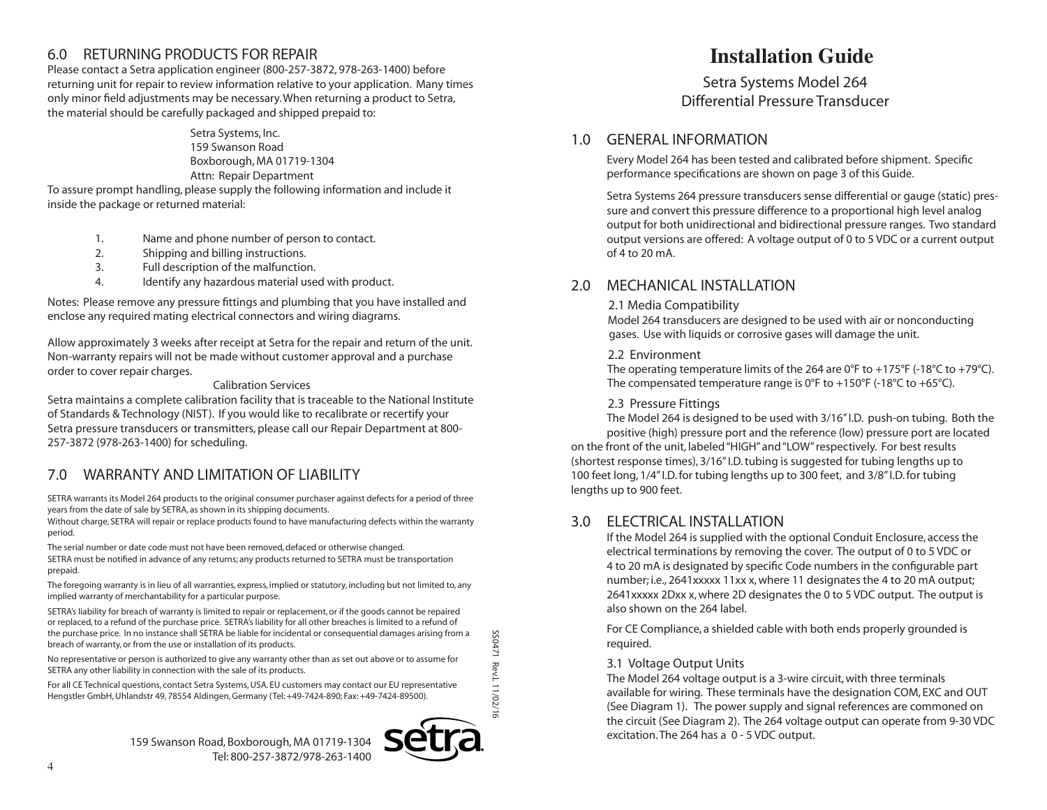## 6.0 RETURNING PRODUCTS FOR REPAIR **Installation Guide**

Please contact a Setra application engineer (800-257-3872, 978-263-1400) before returning unit for repair to review information relative to your application. Many times only minor field adjustments may be necessary. When returning a product to Setra, the material should be carefully packaged and shipped prepaid to:

> Setra Systems, Inc. 159 Swanson Road Boxborough, MA 01719-1304 Attn: Repair Department

To assure prompt handling, please supply the following information and include it inside the package or returned material:

- 1. Name and phone number of person to contact.
- 2. Shipping and billing instructions.
- 3. Full description of the malfunction.
- 4. Identify any hazardous material used with product.

Notes: Please remove any pressure fittings and plumbing that you have installed and enclose any required mating electrical connectors and wiring diagrams.

Allow approximately 3 weeks after receipt at Setra for the repair and return of the unit. Non-warranty repairs will not be made without customer approval and a purchase order to cover repair charges.

## Calibration Services

Setra maintains a complete calibration facility that is traceable to the National Institute of Standards & Technology (NIST). If you would like to recalibrate or recertify your Setra pressure transducers or transmitters, please call our Repair Department at 800- 257-3872 (978-263-1400) for scheduling.

# 7.0 WARRANTY AND LIMITATION OF LIABILITY

SETRA warrants its Model 264 products to the original consumer purchaser against defects for a period of three years from the date of sale by SETRA, as shown in its shipping documents.

Without charge, SETRA will repair or replace products found to have manufacturing defects within the warranty period.

The serial number or date code must not have been removed, defaced or otherwise changed.

SETRA must be notified in advance of any returns; any products returned to SETRA must be transportation prepaid.

The foregoing warranty is in lieu of all warranties, express, implied or statutory, including but not limited to, any implied warranty of merchantability for a particular purpose.

SETRA's liability for breach of warranty is limited to repair or replacement, or if the goods cannot be repaired or replaced, to a refund of the purchase price. SETRA's liability for all other breaches is limited to a refund of the purchase price. In no instance shall SETRA be liable for incidental or consequential damages arising from a breach of warranty, or from the use or installation of its products.

No representative or person is authorized to give any warranty other than as set out above or to assume for SETRA any other liability in connection with the sale of its products.

For all CE Technical questions, contact Setra Systems, USA. EU customers may contact our EU representative Hengstler GmbH, Uhlandstr 49, 78554 Aldingen, Germany (Tel: +49-7424-890; Fax: +49-7424-89500).

LZb0SS SS0471 Rev.L 11/02/16 Rev.L 11/02/16

159 Swanson Road, Boxborough, MA 01719-1304 Tel: 800-257-3872/978-263-1400



Setra Systems Model 264 Differential Pressure Transducer

## 1.0 GENERAL INFORMATION

Every Model 264 has been tested and calibrated before shipment. Specific performance specifications are shown on page 3 of this Guide.

Setra Systems 264 pressure transducers sense differential or gauge (static) pressure and convert this pressure difference to a proportional high level analog output for both unidirectional and bidirectional pressure ranges. Two standard output versions are offered: A voltage output of 0 to 5 VDC or a current output of 4 to 20 mA.

## 2.0 MECHANICAL INSTALLATION

### 2.1 Media Compatibility

 Model 264 transducers are designed to be used with air or nonconducting gases. Use with liquids or corrosive gases will damage the unit.

#### 2.2 Environment

The operating temperature limits of the 264 are 0°F to  $+175$ °F (-18°C to  $+79$ °C). The compensated temperature range is 0°F to +150°F (-18°C to +65°C).

#### 2.3 Pressure Fittings

The Model 264 is designed to be used with 3/16" I.D. push-on tubing. Both the positive (high) pressure port and the reference (low) pressure port are located

on the front of the unit, labeled "HIGH" and "LOW" respectively. For best results (shortest response times), 3/16" I.D. tubing is suggested for tubing lengths up to 100 feet long, 1/4" I.D. for tubing lengths up to 300 feet, and 3/8" I.D. for tubing lengths up to 900 feet.

## 3.0 ELECTRICAL INSTALLATION

If the Model 264 is supplied with the optional Conduit Enclosure, access the electrical terminations by removing the cover. The output of 0 to 5 VDC or 4 to 20 mA is designated by specific Code numbers in the configurable part number; i.e., 2641xxxxx 11xx x, where 11 designates the 4 to 20 mA output; 2641xxxxx 2Dxx x, where 2D designates the 0 to 5 VDC output. The output is also shown on the 264 label.

For CE Compliance, a shielded cable with both ends properly grounded is required.

## 3.1 Voltage Output Units

The Model 264 voltage output is a 3-wire circuit, with three terminals available for wiring. These terminals have the designation COM, EXC and OUT (See Diagram 1). The power supply and signal references are commoned on the circuit (See Diagram 2). The 264 voltage output can operate from 9-30 VDC excitation. The 264 has a 0 - 5 VDC output.